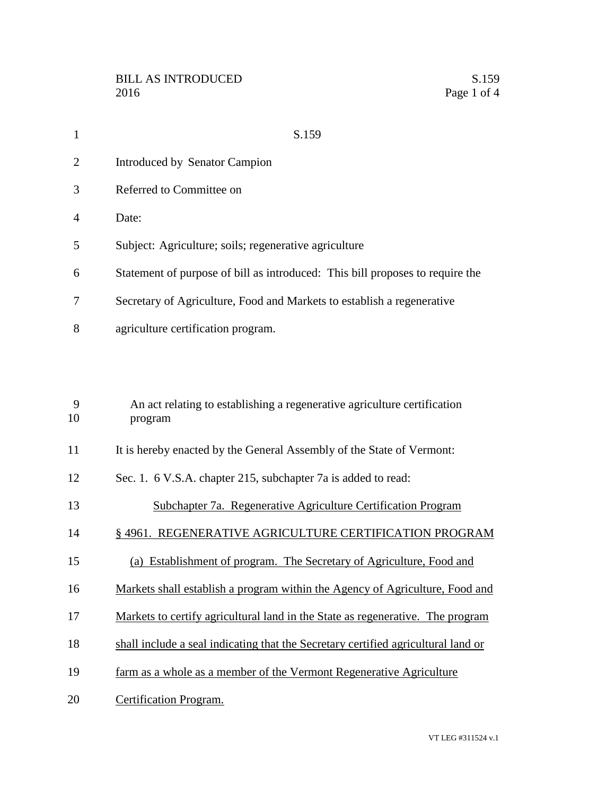| $\mathbf{1}$           | S.159                                                                         |
|------------------------|-------------------------------------------------------------------------------|
| 2                      | Introduced by Senator Campion                                                 |
| 3                      | Referred to Committee on                                                      |
| $\boldsymbol{\Lambda}$ | Date:                                                                         |
| 5                      | Subject: Agriculture; soils; regenerative agriculture                         |
| 6                      | Statement of purpose of bill as introduced: This bill proposes to require the |
| 7                      | Secretary of Agriculture, Food and Markets to establish a regenerative        |
| 8                      | agriculture certification program.                                            |

| 9<br>10 | An act relating to establishing a regenerative agriculture certification<br>program |
|---------|-------------------------------------------------------------------------------------|
| 11      | It is hereby enacted by the General Assembly of the State of Vermont:               |
| 12      | Sec. 1. 6 V.S.A. chapter 215, subchapter 7a is added to read:                       |
| 13      | Subchapter 7a. Regenerative Agriculture Certification Program                       |
| 14      | § 4961. REGENERATIVE AGRICULTURE CERTIFICATION PROGRAM                              |
| 15      | (a) Establishment of program. The Secretary of Agriculture, Food and                |
| 16      | Markets shall establish a program within the Agency of Agriculture, Food and        |
| 17      | Markets to certify agricultural land in the State as regenerative. The program      |
| 18      | shall include a seal indicating that the Secretary certified agricultural land or   |
| 19      | farm as a whole as a member of the Vermont Regenerative Agriculture                 |
| 20      | Certification Program.                                                              |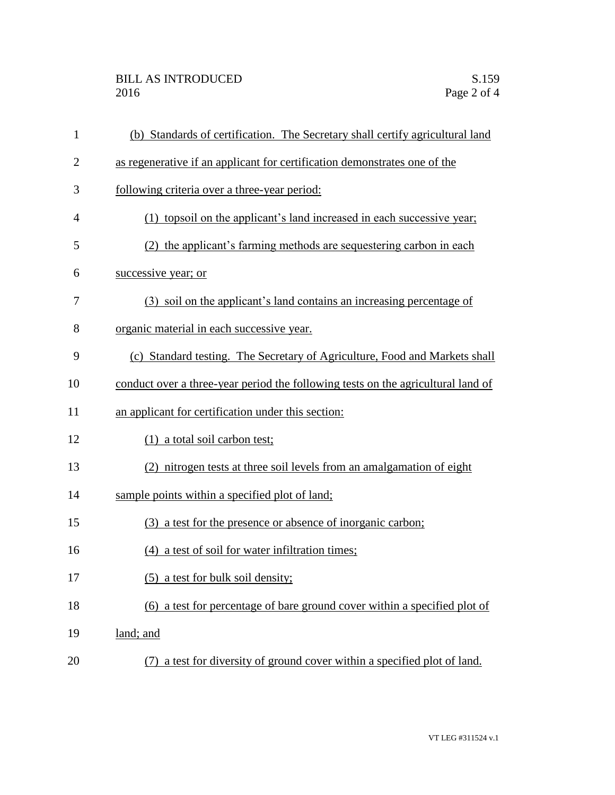## BILL AS INTRODUCED<br>2016 Page 2 of 4

| $\mathbf{1}$   | (b) Standards of certification. The Secretary shall certify agricultural land    |
|----------------|----------------------------------------------------------------------------------|
| $\overline{2}$ | as regenerative if an applicant for certification demonstrates one of the        |
| 3              | following criteria over a three-year period:                                     |
| $\overline{4}$ | (1) topsoil on the applicant's land increased in each successive year;           |
| 5              | (2) the applicant's farming methods are sequestering carbon in each              |
| 6              | successive year; or                                                              |
| 7              | (3) soil on the applicant's land contains an increasing percentage of            |
| 8              | organic material in each successive year.                                        |
| 9              | (c) Standard testing. The Secretary of Agriculture, Food and Markets shall       |
| 10             | conduct over a three-year period the following tests on the agricultural land of |
| 11             | an applicant for certification under this section:                               |
| 12             | (1) a total soil carbon test;                                                    |
| 13             | (2) nitrogen tests at three soil levels from an amalgamation of eight            |
| 14             | sample points within a specified plot of land;                                   |
| 15             | (3) a test for the presence or absence of inorganic carbon;                      |
| 16             | (4) a test of soil for water infiltration times;                                 |
| 17             | (5) a test for bulk soil density;                                                |
| 18             | (6) a test for percentage of bare ground cover within a specified plot of        |
| 19             | land; and                                                                        |
| 20             | (7) a test for diversity of ground cover within a specified plot of land.        |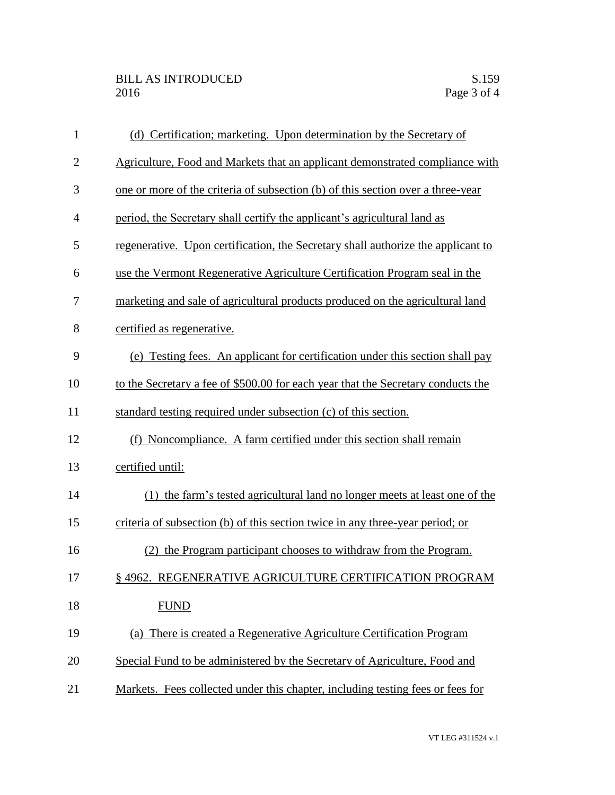| $\mathbf{1}$   | (d) Certification; marketing. Upon determination by the Secretary of             |
|----------------|----------------------------------------------------------------------------------|
| $\overline{2}$ | Agriculture, Food and Markets that an applicant demonstrated compliance with     |
| 3              | one or more of the criteria of subsection (b) of this section over a three-year  |
| $\overline{4}$ | period, the Secretary shall certify the applicant's agricultural land as         |
| 5              | regenerative. Upon certification, the Secretary shall authorize the applicant to |
| 6              | use the Vermont Regenerative Agriculture Certification Program seal in the       |
| 7              | marketing and sale of agricultural products produced on the agricultural land    |
| 8              | certified as regenerative.                                                       |
| 9              | (e) Testing fees. An applicant for certification under this section shall pay    |
| 10             | to the Secretary a fee of \$500.00 for each year that the Secretary conducts the |
| 11             | standard testing required under subsection (c) of this section.                  |
| 12             | (f) Noncompliance. A farm certified under this section shall remain              |
| 13             | certified until:                                                                 |
| 14             | (1) the farm's tested agricultural land no longer meets at least one of the      |
| 15             | criteria of subsection (b) of this section twice in any three-year period; or    |
| 16             | (2) the Program participant chooses to withdraw from the Program.                |
| 17             | § 4962. REGENERATIVE AGRICULTURE CERTIFICATION PROGRAM                           |
| 18             | <b>FUND</b>                                                                      |
| 19             | (a) There is created a Regenerative Agriculture Certification Program            |
| 20             | Special Fund to be administered by the Secretary of Agriculture, Food and        |
| 21             | Markets. Fees collected under this chapter, including testing fees or fees for   |